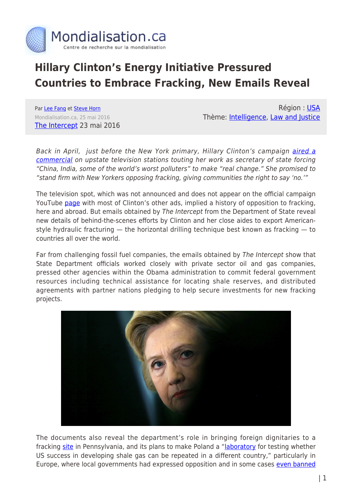

# **Hillary Clinton's Energy Initiative Pressured Countries to Embrace Fracking, New Emails Reveal**

Par [Lee Fang](https://www.mondialisation.ca/author/lee-fang) et [Steve Horn](https://www.mondialisation.ca/author/steve-horn) Mondialisation.ca, 25 mai 2016 [The Intercept](https://theintercept.com/2016/05/23/hillary-clinton-fracking/) 23 mai 2016

Région : [USA](https://www.mondialisation.ca/region/usa) Thème: [Intelligence,](https://www.mondialisation.ca/theme/intelligence) [Law and Justice](https://www.mondialisation.ca/theme/law-and-justice)

Back in April, just before the New York primary, Hillary Clinton's campaign [aired a](http://www.hillheat.com/articles/2016/04/18/in-upstate-ad-clinton-promises-to-stand-firm-with-new-yorkers-opposing-fracking) [commercial](http://www.hillheat.com/articles/2016/04/18/in-upstate-ad-clinton-promises-to-stand-firm-with-new-yorkers-opposing-fracking) on upstate television stations touting her work as secretary of state forcing "China, India, some of the world's worst polluters" to make "real change." She promised to "stand firm with New Yorkers opposing fracking, giving communities the right to say 'no.'"

The television spot, which was not announced and does not appear on the official campaign YouTube [page](https://www.youtube.com/channel/UCLRYsOHrkk5qcIhtq033bLQ/videos) with most of Clinton's other ads, implied a history of opposition to fracking, here and abroad. But emails obtained by The Intercept from the Department of State reveal new details of behind-the-scenes efforts by Clinton and her close aides to export Americanstyle hydraulic fracturing — the horizontal drilling technique best known as fracking — to countries all over the world.

Far from challenging fossil fuel companies, the emails obtained by The Intercept show that State Department officials worked closely with private sector oil and gas companies, pressed other agencies within the Obama administration to commit federal government resources including technical assistance for locating shale reserves, and distributed agreements with partner nations pledging to help secure investments for new fracking projects.



The documents also reveal the department's role in bringing foreign dignitaries to a fracking [site](https://www.documentcloud.org/documents/2803568-GSGI-Emails-3.html) in Pennsylvania, and its plans to make Poland a ["laboratory](https://www.documentcloud.org/documents/2803564-GSGI-Emails-2.html) for testing whether US success in developing shale gas can be repeated in a different country," particularly in Europe, where local governments had expressed opposition and in some cases [even banned](http://www.bloomberg.com/news/articles/2011-07-01/france-vote-outlaws-fracking-shale-for-natural-gas-oil-extraction)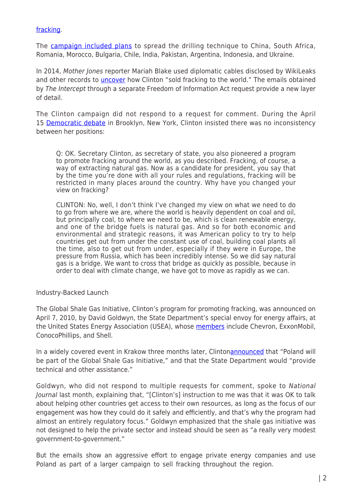### [fracking](http://www.bloomberg.com/news/articles/2011-07-01/france-vote-outlaws-fracking-shale-for-natural-gas-oil-extraction).

The [campaign included plans](https://www.documentcloud.org/documents/2803566-GSGI-Country-List-Specifics-Chart.html) to spread the drilling technique to China, South Africa, Romania, Morocco, Bulgaria, Chile, India, Pakistan, Argentina, Indonesia, and Ukraine.

In 2014, Mother Jones reporter Mariah Blake used diplomatic cables disclosed by WikiLeaks and other records to *[uncover](http://www.motherjones.com/environment/2014/09/hillary-clinton-fracking-shale-state-department-chevron)* how Clinton "sold fracking to the world." The emails obtained by The Intercept through a separate Freedom of Information Act request provide a new layer of detail.

The Clinton campaign did not respond to a request for comment. During the April 15 [Democratic debate](http://www.cnn.com/2016/04/14/politics/transcript-democratic-debate-hillary-clinton-bernie-sanders/) in Brooklyn, New York, Clinton insisted there was no inconsistency between her positions:

Q: OK. Secretary Clinton, as secretary of state, you also pioneered a program to promote fracking around the world, as you described. Fracking, of course, a way of extracting natural gas. Now as a candidate for president, you say that by the time you're done with all your rules and regulations, fracking will be restricted in many places around the country. Why have you changed your view on fracking?

CLINTON: No, well, I don't think I've changed my view on what we need to do to go from where we are, where the world is heavily dependent on coal and oil, but principally coal, to where we need to be, which is clean renewable energy, and one of the bridge fuels is natural gas. And so for both economic and environmental and strategic reasons, it was American policy to try to help countries get out from under the constant use of coal, building coal plants all the time, also to get out from under, especially if they were in Europe, the pressure from Russia, which has been incredibly intense. So we did say natural gas is a bridge. We want to cross that bridge as quickly as possible, because in order to deal with climate change, we have got to move as rapidly as we can.

#### Industry-Backed Launch

The Global Shale Gas Initiative, Clinton's program for promoting fracking, was announced on April 7, 2010, by David Goldwyn, the State Department's special envoy for energy affairs, at the United States Energy Association (USEA), whose [members](https://www.usea.org/content/useas-membership) include Chevron, ExxonMobil, ConocoPhillips, and Shell.

In a widely covered event in Krakow three months later, Clinton[announced](http://www.state.gov/secretary/20092013clinton/rm/2010/07/144056.htm) that "Poland will be part of the Global Shale Gas Initiative," and that the State Department would "provide technical and other assistance."

Goldwyn, who did not respond to multiple requests for comment, spoke to National Journal last month, explaining that, "[Clinton's] instruction to me was that it was OK to talk about helping other countries get access to their own resources, as long as the focus of our engagement was how they could do it safely and efficiently, and that's why the program had almost an entirely regulatory focus." Goldwyn emphasized that the shale gas initiative was not designed to help the private sector and instead should be seen as "a really very modest government-to-government."

But the emails show an aggressive effort to engage private energy companies and use Poland as part of a larger campaign to sell fracking throughout the region.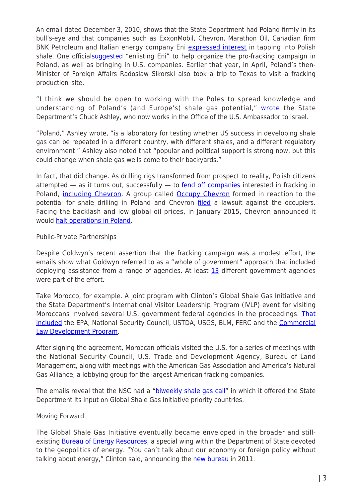An email dated December 3, 2010, shows that the State Department had Poland firmly in its bull's-eye and that companies such as ExxonMobil, Chevron, Marathon Oil, Canadian firm BNK Petroleum and Italian energy company Eni [expressed interest](https://www.documentcloud.org/documents/2803564-GSGI-Emails-2.html) in tapping into Polish shale. One officia[lsuggested](https://www.documentcloud.org/documents/2803564-GSGI-Emails-2.html#document) "enlisting Eni" to help organize the pro-fracking campaign in Poland, as well as bringing in U.S. companies. Earlier that year, in April, Poland's then-Minister of Foreign Affairs Radoslaw Sikorski also took a trip to Texas to visit a fracking production site.

"I think we should be open to working with the Poles to spread knowledge and understanding of Poland's (and Europe's) shale gas potential," [wrote](https://www.documentcloud.org/documents/2803564-GSGI-Emails-2.html) the State Department's Chuck Ashley, who now works in the Office of the U.S. Ambassador to Israel.

"Poland," Ashley wrote, "is a laboratory for testing whether US success in developing shale gas can be repeated in a different country, with different shales, and a different regulatory environment." Ashley also noted that "popular and political support is strong now, but this could change when shale gas wells come to their backyards."

In fact, that did change. As drilling rigs transformed from prospect to reality, Polish citizens attempted  $-$  as it turns out, successfully  $-$  to [fend off companies](http://www.csmonitor.com/World/Europe/2013/0724/A-Polish-village-says-no-to-fracking) interested in fracking in Poland, [including Chevron](http://www.theguardian.com/environment/2015/jan/12/polands-shale-gas-revolution-evaporates-in-face-of-environmental-protests). A group called [Occupy Chevron](http://www.bloomberg.com/news/articles/2013-06-21/occupy-chevron-protesters-shale-permit-claims-denied-by-company) formed in reaction to the potential for shale drilling in Poland and Chevron [filed](http://www.reuters.com/article/us-poland-chevron-shalegas-idUSBRE9A70TD20131108) a lawsuit against the occupiers. Facing the backlash and low global oil prices, in January 2015, Chevron announced it would [halt operations in Poland.](http://www.nytimes.com/2015/01/31/business/international/chevron-to-abandon-shale-venture-in-poland-a-setback-to-fracking-europe.html?_r=0)

### Public-Private Partnerships

Despite Goldwyn's recent assertion that the fracking campaign was a modest effort, the emails show what Goldwyn referred to as a "whole of government" approach that included deploying assistance from a range of agencies. At least  $13$  different government agencies were part of the effort.

Take Morocco, for example. A joint program with Clinton's Global Shale Gas Initiative and the State Department's International Visitor Leadership Program (IVLP) event for visiting Moroccans involved several U.S. government federal agencies in the proceedings. [That](https://www.documentcloud.org/documents/2803567-GSGI-Emails.html) [included](https://www.documentcloud.org/documents/2803567-GSGI-Emails.html) the EPA, National Security Council, USTDA, USGS, BLM, FERC and the [Commercial](https://www.documentcloud.org/documents/2803570-GSGI-Emails-5.html) [Law Development Program](https://www.documentcloud.org/documents/2803570-GSGI-Emails-5.html).

After signing the agreement, Moroccan officials visited the U.S. for a series of meetings with the National Security Council, U.S. Trade and Development Agency, Bureau of Land Management, along with meetings with the American Gas Association and America's Natural Gas Alliance, a lobbying group for the largest American fracking companies.

The emails reveal that the NSC had a ["biweekly shale gas call](https://www.documentcloud.org/documents/2803568-GSGI-Emails-3.html)" in which it offered the State Department its input on Global Shale Gas Initiative priority countries.

## Moving Forward

The Global Shale Gas Initiative eventually became enveloped in the broader and stillexisting **Bureau of Energy Resources**, a special wing within the Department of State devoted to the geopolitics of energy. "You can't talk about our economy or foreign policy without talking about energy," Clinton said, announcing the [new bureau](http://www.state.gov/r/pa/prs/ps/2011/11/177262.htm) in 2011.